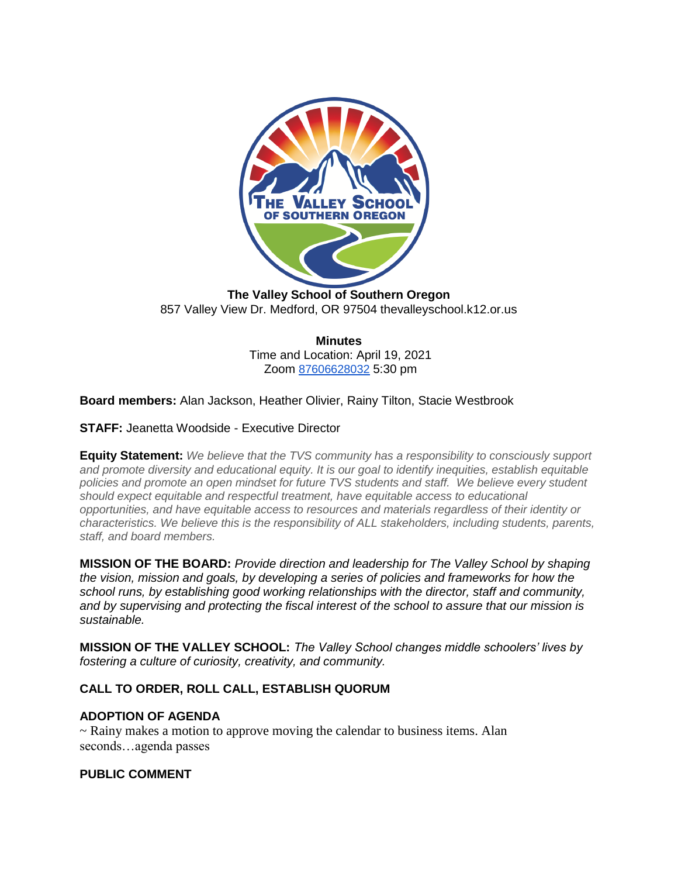

**The Valley School of Southern Oregon** 857 Valley View Dr. Medford, OR 97504 thevalleyschool.k12.or.us

> **Minutes** Time and Location: April 19, 2021 Zoom [87606628032](https://us02web.zoom.us/j/87606628032) 5:30 pm

**Board members:** Alan Jackson, Heather Olivier, Rainy Tilton, Stacie Westbrook

**STAFF:** Jeanetta Woodside - Executive Director

**Equity Statement:** *We believe that the TVS community has a responsibility to consciously support and promote diversity and educational equity. It is our goal to identify inequities, establish equitable policies and promote an open mindset for future TVS students and staff. We believe every student should expect equitable and respectful treatment, have equitable access to educational opportunities, and have equitable access to resources and materials regardless of their identity or characteristics. We believe this is the responsibility of ALL stakeholders, including students, parents, staff, and board members.*

**MISSION OF THE BOARD:** *Provide direction and leadership for The Valley School by shaping the vision, mission and goals, by developing a series of policies and frameworks for how the school runs, by establishing good working relationships with the director, staff and community, and by supervising and protecting the fiscal interest of the school to assure that our mission is sustainable.*

**MISSION OF THE VALLEY SCHOOL:** *The Valley School changes middle schoolers' lives by fostering a culture of curiosity, creativity, and community.*

### **CALL TO ORDER, ROLL CALL, ESTABLISH QUORUM**

### **ADOPTION OF AGENDA**

~ Rainy makes a motion to approve moving the calendar to business items. Alan seconds…agenda passes

### **PUBLIC COMMENT**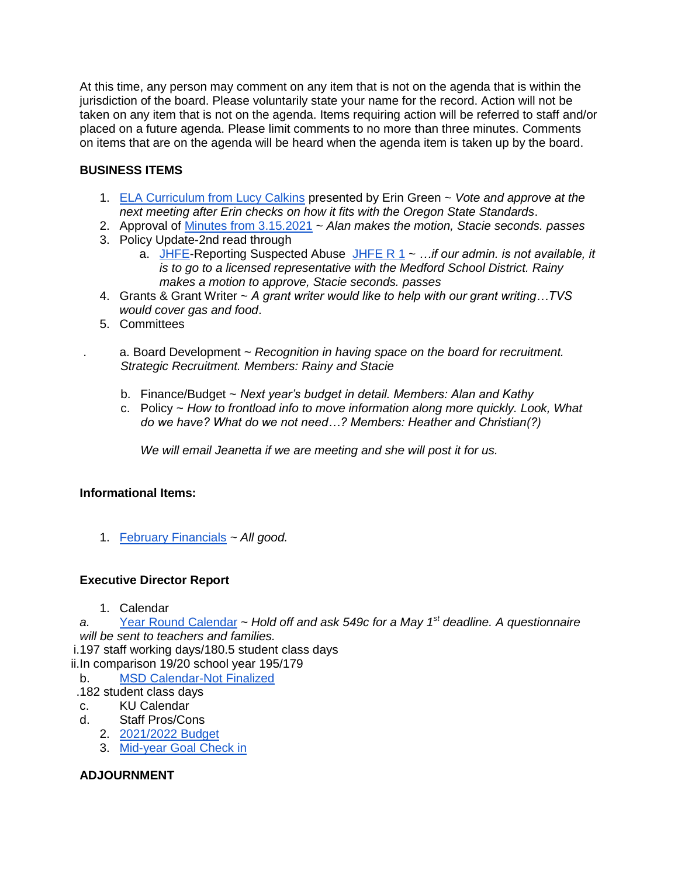At this time, any person may comment on any item that is not on the agenda that is within the jurisdiction of the board. Please voluntarily state your name for the record. Action will not be taken on any item that is not on the agenda. Items requiring action will be referred to staff and/or placed on a future agenda. Please limit comments to no more than three minutes. Comments on items that are on the agenda will be heard when the agenda item is taken up by the board.

## **BUSINESS ITEMS**

- 1. [ELA Curriculum from Lucy Calkins](https://docs.google.com/presentation/d/1K2WuJGT5MKU7dPTGed-AsAuhgnBwn35o_nOvE6uAIk8/edit?ts=6074bbfa#slide=id.p1) presented by Erin Green ~ *Vote and approve at the next meeting after Erin checks on how it fits with the Oregon State Standards*.
- 2. Approval of [Minutes from 3.15.2021](https://docs.google.com/document/d/1d8XYVjHbSAAI7BNYq4uExI_pX-dquVyD/edit?usp=drive_web&ouid=109156176901351528381&rtpof=true) ~ *Alan makes the motion, Stacie seconds. passes*
- 3. Policy Update-2nd read through
	- a. [JHFE-](https://docs.google.com/document/d/1_tULbJd5ZHABXzGx0qKuRw6FbYd8ALS1/edit)Reporting Suspected Abuse [JHFE R 1](https://docs.google.com/document/d/1kcPUr5hc7XM6TJRzF5WJDh-A5-BfKwUx/edit) ~ *…if our admin. is not available, it is to go to a licensed representative with the Medford School District. Rainy makes a motion to approve, Stacie seconds. passes*
- 4. Grants & Grant Writer ~ *A grant writer would like to help with our grant writing…TVS would cover gas and food*.
- 5. Committees

. a. Board Development ~ *Recognition in having space on the board for recruitment. Strategic Recruitment. Members: Rainy and Stacie*

- b. Finance/Budget ~ *Next year's budget in detail. Members: Alan and Kathy*
- c. Policy ~ *How to frontload info to move information along more quickly. Look, What do we have? What do we not need…? Members: Heather and Christian(?)*

*We will email Jeanetta if we are meeting and she will post it for us.*

## **Informational Items:**

1. [February Financials](https://docs.google.com/document/d/1IcBA7AzaX3YW7iJwNWB8MlY1Gbb0TvP00542mG-YM1k/edit) *~ All good.*

## **Executive Director Report**

1. Calendar

*a.* [Year Round Calendar](https://docs.google.com/spreadsheets/d/1pvRsgr6LWDCHVptnsVoz5dDjhwT_G9T7qVNDHpfiWME/edit#gid=0) ~ *Hold off and ask 549c for a May 1st deadline. A questionnaire will be sent to teachers and families.*

i.197 staff working days/180.5 student class days

ii.In comparison 19/20 school year 195/179

- b. [MSD Calendar-Not Finalized](https://www.medford.k12.or.us/Page/6471)
- .182 student class days
- c. KU Calendar
- d. Staff Pros/Cons
	- 2. [2021/2022 Budget](https://docs.google.com/spreadsheets/d/1XRKRkIOdTmWUlwilJAr_ZSpPY3acMcI6QRuXJfLYsns/edit#gid=0)
	- 3. [Mid-year Goal Check in](https://docs.google.com/document/d/1o8JH5tAvql7EdiIm0cbWdOwW9o3AFu-1/edit)

# **ADJOURNMENT**